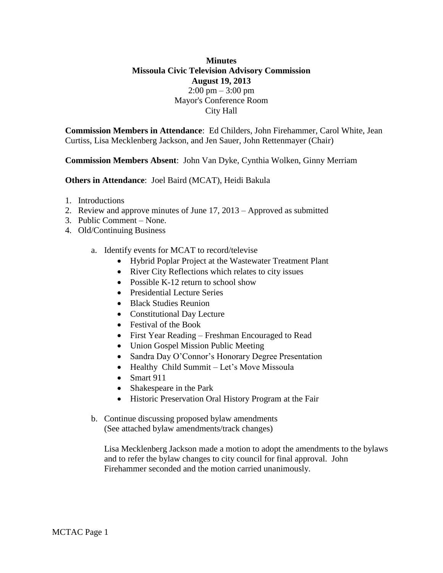## **Minutes Missoula Civic Television Advisory Commission August 19, 2013**  $2:00 \text{ pm} - 3:00 \text{ pm}$ Mayor's Conference Room City Hall

**Commission Members in Attendance**: Ed Childers, John Firehammer, Carol White, Jean Curtiss, Lisa Mecklenberg Jackson, and Jen Sauer, John Rettenmayer (Chair)

**Commission Members Absent**: John Van Dyke, Cynthia Wolken, Ginny Merriam

## **Others in Attendance**: Joel Baird (MCAT), Heidi Bakula

- 1. Introductions
- 2. Review and approve minutes of June 17, 2013 Approved as submitted
- 3. Public Comment None.
- 4. Old/Continuing Business
	- a. Identify events for MCAT to record/televise
		- Hybrid Poplar Project at the Wastewater Treatment Plant
		- River City Reflections which relates to city issues
		- Possible K-12 return to school show
		- Presidential Lecture Series
		- Black Studies Reunion
		- Constitutional Day Lecture
		- Festival of the Book
		- First Year Reading Freshman Encouraged to Read
		- Union Gospel Mission Public Meeting
		- Sandra Day O'Connor's Honorary Degree Presentation
		- Healthy Child Summit Let's Move Missoula
		- $\bullet$  Smart 911
		- Shakespeare in the Park
		- Historic Preservation Oral History Program at the Fair
	- b. Continue discussing proposed bylaw amendments (See attached bylaw amendments/track changes)

Lisa Mecklenberg Jackson made a motion to adopt the amendments to the bylaws and to refer the bylaw changes to city council for final approval. John Firehammer seconded and the motion carried unanimously.